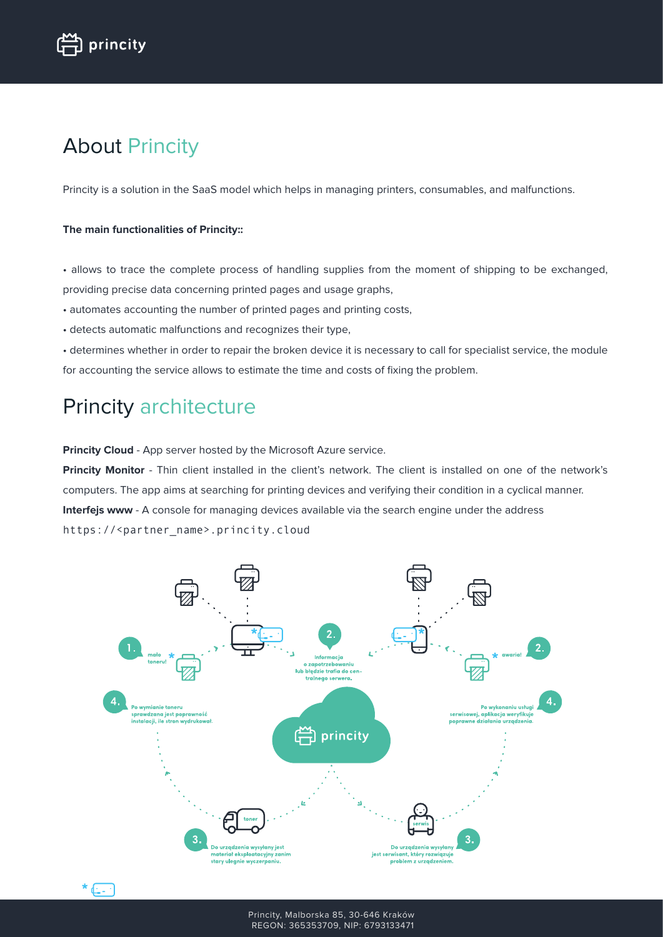# About Princity

Princity is a solution in the SaaS model which helps in managing printers, consumables, and malfunctions.

#### **The main functionalities of Princity::**

• allows to trace the complete process of handling supplies from the moment of shipping to be exchanged, providing precise data concerning printed pages and usage graphs,

- automates accounting the number of printed pages and printing costs,
- detects automatic malfunctions and recognizes their type,

• determines whether in order to repair the broken device it is necessary to call for specialist service, the module for accounting the service allows to estimate the time and costs of fixing the problem.

### Princity architecture

**Princity Cloud** - App server hosted by the Microsoft Azure service.

**Princity Monitor** - Thin client installed in the client's network. The client is installed on one of the network's computers. The app aims at searching for printing devices and verifying their condition in a cyclical manner. **Interfejs www** - A console for managing devices available via the search engine under the address https://<partner\_name>.princity.cloud

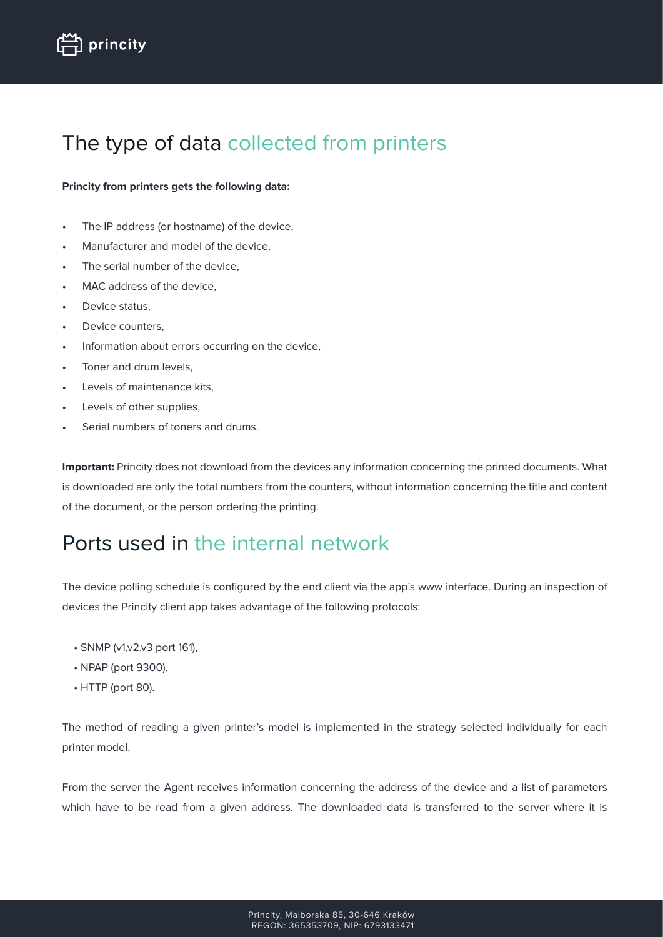## The type of data collected from printers

#### **Princity from printers gets the following data:**

- The IP address (or hostname) of the device,
- Manufacturer and model of the device,
- The serial number of the device,
- MAC address of the device,
- Device status.
- Device counters,
- Information about errors occurring on the device,
- Toner and drum levels,
- Levels of maintenance kits,
- Levels of other supplies,
- Serial numbers of toners and drums.

**Important:** Princity does not download from the devices any information concerning the printed documents. What is downloaded are only the total numbers from the counters, without information concerning the title and content of the document, or the person ordering the printing.

### Ports used in the internal network

The device polling schedule is configured by the end client via the app's www interface. During an inspection of devices the Princity client app takes advantage of the following protocols:

- SNMP (v1,v2,v3 port 161),
- NPAP (port 9300),
- HTTP (port 80).

The method of reading a given printer's model is implemented in the strategy selected individually for each printer model.

From the server the Agent receives information concerning the address of the device and a list of parameters which have to be read from a given address. The downloaded data is transferred to the server where it is